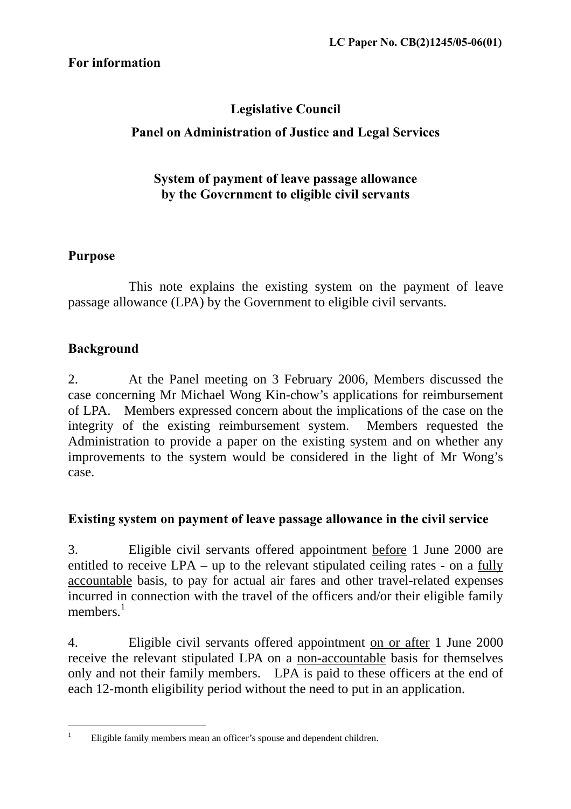# **Legislative Council**

# **Panel on Administration of Justice and Legal Services**

#### **System of payment of leave passage allowance by the Government to eligible civil servants**

## **Purpose**

 This note explains the existing system on the payment of leave passage allowance (LPA) by the Government to eligible civil servants.

## **Background**

2. At the Panel meeting on 3 February 2006, Members discussed the case concerning Mr Michael Wong Kin-chow's applications for reimbursement of LPA. Members expressed concern about the implications of the case on the integrity of the existing reimbursement system. Members requested the Administration to provide a paper on the existing system and on whether any improvements to the system would be considered in the light of Mr Wong's case.

## **Existing system on payment of leave passage allowance in the civil service**

3. Eligible civil servants offered appointment before 1 June 2000 are entitled to receive LPA – up to the relevant stipulated ceiling rates - on a fully accountable basis, to pay for actual air fares and other travel-related expenses incurred in connection with the travel of the officers and/or their eligible family members. $<sup>1</sup>$  $<sup>1</sup>$  $<sup>1</sup>$ </sup>

4. Eligible civil servants offered appointment on or after 1 June 2000 receive the relevant stipulated LPA on a non-accountable basis for themselves only and not their family members. LPA is paid to these officers at the end of each 12-month eligibility period without the need to put in an application.

 $\overline{a}$ 1

<span id="page-0-0"></span>Eligible family members mean an officer's spouse and dependent children.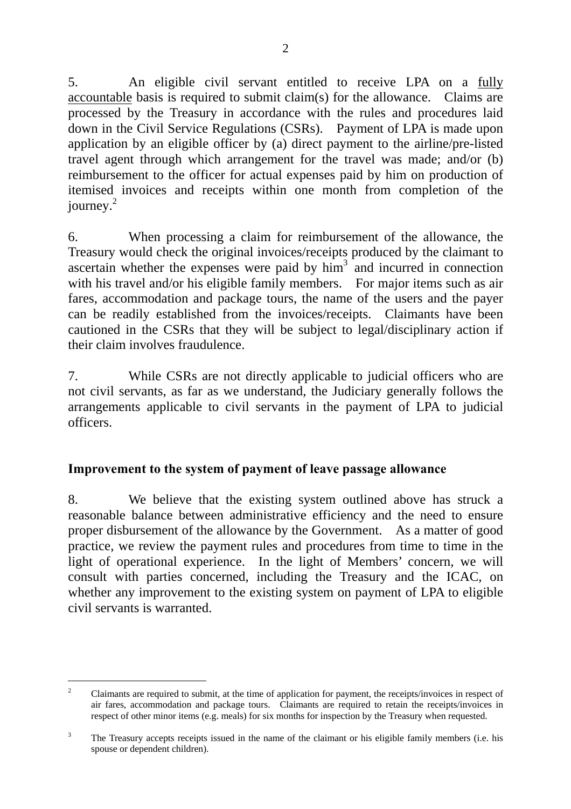5. An eligible civil servant entitled to receive LPA on a fully accountable basis is required to submit claim(s) for the allowance. Claims are processed by the Treasury in accordance with the rules and procedures laid down in the Civil Service Regulations (CSRs). Payment of LPA is made upon application by an eligible officer by (a) direct payment to the airline/pre-listed travel agent through which arrangement for the travel was made; and/or (b) reimbursement to the officer for actual expenses paid by him on production of itemised invoices and receipts within one month from completion of the  $i$ ourney. $2$ 

6. When processing a claim for reimbursement of the allowance, the Treasury would check the original invoices/receipts produced by the claimant to ascertain whether the expenses were paid by  $\lim^3$  $\lim^3$  and incurred in connection with his travel and/or his eligible family members. For major items such as air fares, accommodation and package tours, the name of the users and the payer can be readily established from the invoices/receipts. Claimants have been cautioned in the CSRs that they will be subject to legal/disciplinary action if their claim involves fraudulence.

7. While CSRs are not directly applicable to judicial officers who are not civil servants, as far as we understand, the Judiciary generally follows the arrangements applicable to civil servants in the payment of LPA to judicial officers.

#### **Improvement to the system of payment of leave passage allowance**

8. We believe that the existing system outlined above has struck a reasonable balance between administrative efficiency and the need to ensure proper disbursement of the allowance by the Government. As a matter of good practice, we review the payment rules and procedures from time to time in the light of operational experience. In the light of Members' concern, we will consult with parties concerned, including the Treasury and the ICAC, on whether any improvement to the existing system on payment of LPA to eligible civil servants is warranted.

 $\overline{a}$ 

<span id="page-1-0"></span> $\overline{2}$  Claimants are required to submit, at the time of application for payment, the receipts/invoices in respect of air fares, accommodation and package tours. Claimants are required to retain the receipts/invoices in respect of other minor items (e.g. meals) for six months for inspection by the Treasury when requested.

<span id="page-1-1"></span><sup>3</sup> The Treasury accepts receipts issued in the name of the claimant or his eligible family members (i.e. his spouse or dependent children).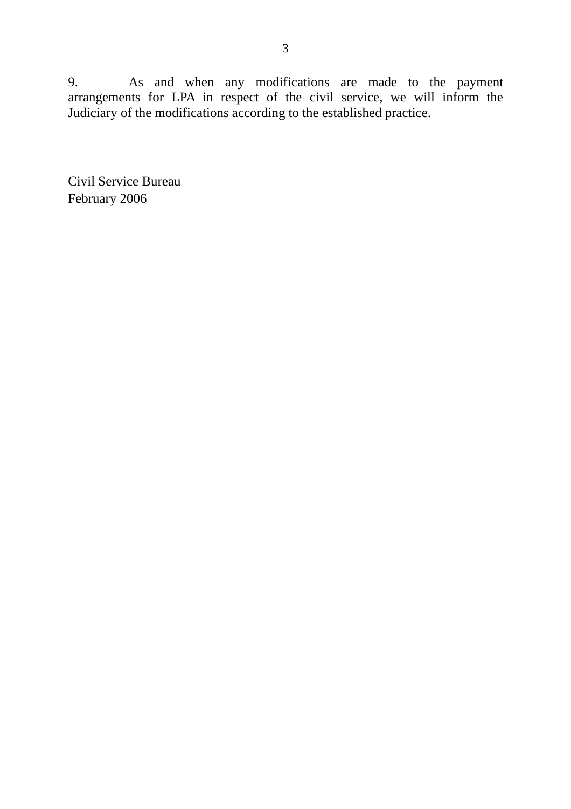9. As and when any modifications are made to the payment arrangements for LPA in respect of the civil service, we will inform the Judiciary of the modifications according to the established practice.

Civil Service Bureau February 2006